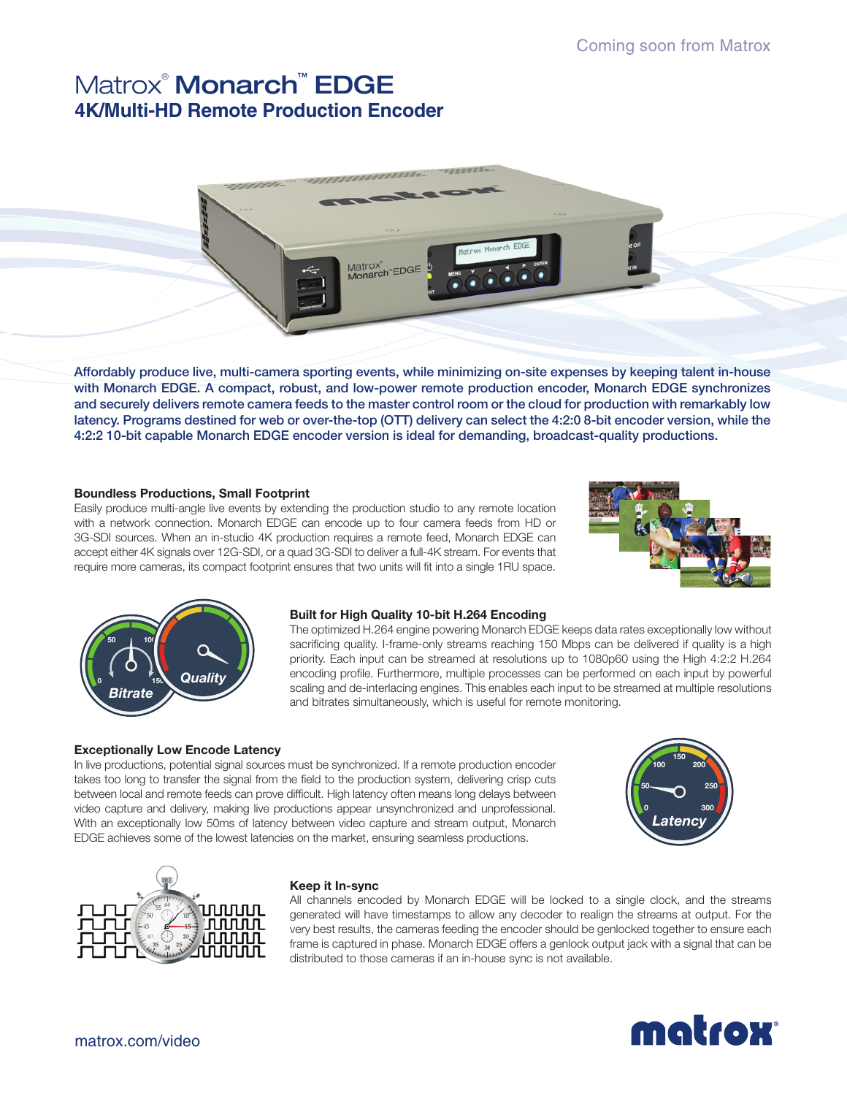# Matrox® Monarch™ EDGE **4K/Multi-HD Remote Production Encoder**



Affordably produce live, multi-camera sporting events, while minimizing on-site expenses by keeping talent in-house with Monarch EDGE. A compact, robust, and low-power remote production encoder, Monarch EDGE synchronizes and securely delivers remote camera feeds to the master control room or the cloud for production with remarkably low latency. Programs destined for web or over-the-top (OTT) delivery can select the 4:2:0 8-bit encoder version, while the 4:2:2 10-bit capable Monarch EDGE encoder version is ideal for demanding, broadcast-quality productions.

## **Boundless Productions, Small Footprint**

Easily produce multi-angle live events by extending the production studio to any remote location with a network connection. Monarch EDGE can encode up to four camera feeds from HD or 3G-SDI sources. When an in-studio 4K production requires a remote feed, Monarch EDGE can accept either 4K signals over 12G-SDI, or a quad 3G-SDI to deliver a full-4K stream. For events that require more cameras, its compact footprint ensures that two units will fit into a single 1RU space.





#### **Built for High Quality 10-bit H.264 Encoding**

The optimized H.264 engine powering Monarch EDGE keeps data rates exceptionally low without sacrificing quality. I-frame-only streams reaching 150 Mbps can be delivered if quality is a high priority. Each input can be streamed at resolutions up to 1080p60 using the High 4:2:2 H.264 encoding profile. Furthermore, multiple processes can be performed on each input by powerful scaling and de-interlacing engines. This enables each input to be streamed at multiple resolutions and bitrates simultaneously, which is useful for remote monitoring.

## **Exceptionally Low Encode Latency**

In live productions, potential signal sources must be synchronized. If a remote production encoder takes too long to transfer the signal from the field to the production system, delivering crisp cuts between local and remote feeds can prove difficult. High latency often means long delays between video capture and delivery, making live productions appear unsynchronized and unprofessional. With an exceptionally low 50ms of latency between video capture and stream output, Monarch EDGE achieves some of the lowest latencies on the market, ensuring seamless productions.





## **Keep it In-sync**

All channels encoded by Monarch EDGE will be locked to a single clock, and the streams generated will have timestamps to allow any decoder to realign the streams at output. For the very best results, the cameras feeding the encoder should be genlocked together to ensure each frame is captured in phase. Monarch EDGE offers a genlock output jack with a signal that can be distributed to those cameras if an in-house sync is not available.